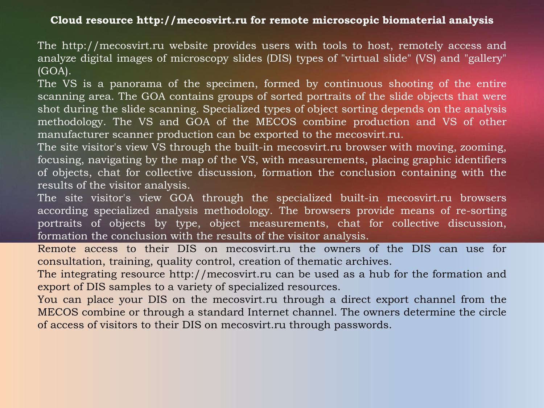## **Cloud resource http://mecosvirt.ru for remote microscopic biomaterial analysis**

The http://mecosvirt.ru website provides users with tools to host, remotely access and analyze digital images of microscopy slides (DIS) types of "virtual slide" (VS) and "gallery" (GOA).

The VS is a panorama of the specimen, formed by continuous shooting of the entire scanning area. The GOA contains groups of sorted portraits of the slide objects that were shot during the slide scanning. Specialized types of object sorting depends on the analysis methodology. The VS and GOA of the MECOS combine production and VS of other manufacturer scanner production can be exported to the mecosvirt.ru.

The site visitor's view VS through the built-in mecosvirt.ru browser with moving, zooming, focusing, navigating by the map of the VS, with measurements, placing graphic identifiers of objects, chat for collective discussion, formation the conclusion containing with the results of the visitor analysis.

The site visitor's view GOA through the specialized built-in mecosvirt.ru browsers according specialized analysis methodology. The browsers provide means of re-sorting portraits of objects by type, object measurements, chat for collective discussion, formation the conclusion with the results of the visitor analysis.

Remote access to their DIS on mecosvirt.ru the owners of the DIS can use for consultation, training, quality control, creation of thematic archives.

The integrating resource http://mecosvirt.ru can be used as a hub for the formation and export of DIS samples to a variety of specialized resources.

You can place your DIS on the mecosvirt.ru through a direct export channel from the MECOS combine or through a standard Internet channel. The owners determine the circle of access of visitors to their DIS on mecosvirt.ru through passwords.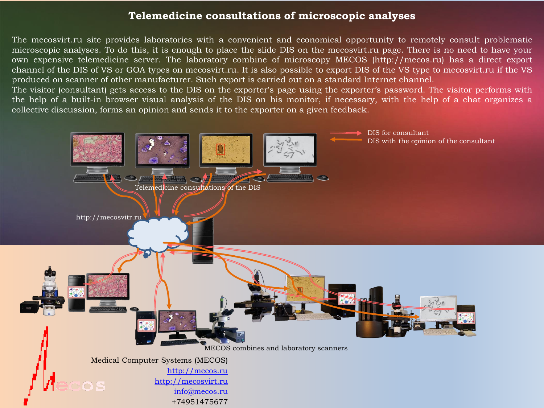## **Telemedicine consultations of microscopic analyses**

The mecosvirt.ru site provides laboratories with a convenient and economical opportunity to remotely consult problematic microscopic analyses. To do this, it is enough to place the slide DIS on the mecosvirt.ru page. There is no need to have your own expensive telemedicine server. The laboratory combine of microscopy MECOS (http://mecos.ru) has a direct export channel of the DIS of VS or GOA types on mecosvirt.ru. It is also possible to export DIS of the VS type to mecosvirt.ru if the VS produced on scanner of other manufacturer. Such export is carried out on a standard Internet channel.

The visitor (consultant) gets access to the DIS on the exporter's page using the exporter's password. The visitor performs with the help of a built-in browser visual analysis of the DIS on his monitor, if necessary, with the help of a chat organizes a collective discussion, forms an opinion and sends it to the exporter on a given feedback.